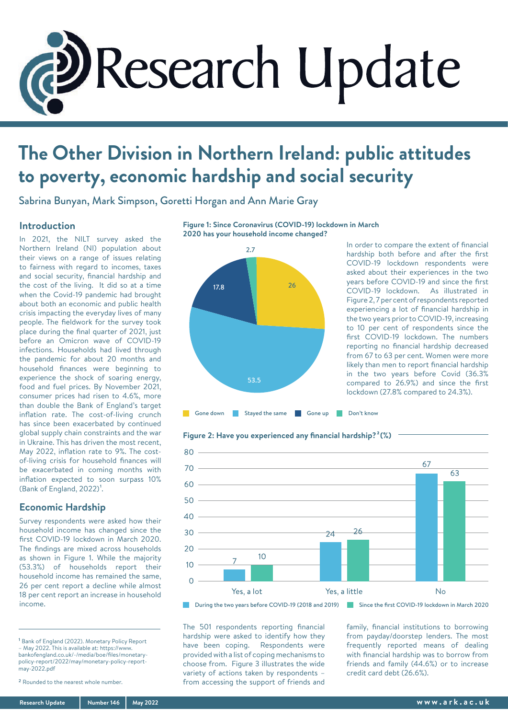

# **The Other Division in Northern Ireland: public attitudes to poverty, economic hardship and social security**

Sabrina Bunyan, Mark Simpson, Goretti Horgan and Ann Marie Gray

## **Introduction**

In 2021, the NILT survey asked the Northern Ireland (NI) population about their views on a range of issues relating to fairness with regard to incomes, taxes and social security, financial hardship and the cost of the living. It did so at a time when the Covid-19 pandemic had brought about both an economic and public health crisis impacting the everyday lives of many people. The fieldwork for the survey took place during the final quarter of 2021, just before an Omicron wave of COVID-19 infections. Households had lived through the pandemic for about 20 months and household finances were beginning to experience the shock of soaring energy, food and fuel prices. By November 2021, consumer prices had risen to 4.6%, more than double the Bank of England's target inflation rate. The cost-of-living crunch has since been exacerbated by continued global supply chain constraints and the war in Ukraine. This has driven the most recent, May 2022, inflation rate to 9%. The costof-living crisis for household finances will be exacerbated in coming months with inflation expected to soon surpass 10% (Bank of England,  $2022$ )<sup>1</sup>.

## **Economic Hardship**

Survey respondents were asked how their household income has changed since the first COVID-19 lockdown in March 2020. The findings are mixed across households as shown in Figure 1. While the majority (53.3%) of households report their household income has remained the same, 26 per cent report a decline while almost 18 per cent report an increase in household income.

1 Bank of England (2022). Monetary Policy Report – May 2022. This is available at: https://www. bankofengland.co.uk/-/media/boe/files/monetarypolicy-report/2022/may/monetary-policy-reportmay-2022.pdf

**Figure 1: Since Coronavirus (COVID-19) lockdown in March 2020 has your household income changed?**



In order to compare the extent of financial hardship both before and after the first COVID-19 lockdown respondents were asked about their experiences in the two years before COVID-19 and since the first COVID-19 lockdown. As illustrated in Figure 2, 7 per cent of respondents reported experiencing a lot of financial hardship in the two years prior to COVID-19, increasing to 10 per cent of respondents since the first COVID-19 lockdown. The numbers reporting no financial hardship decreased from 67 to 63 per cent. Women were more likely than men to report financial hardship in the two years before Covid (36.3% compared to 26.9%) and since the first lockdown (27.8% compared to 24.3%).





The 501 respondents reporting financial hardship were asked to identify how they have been coping. Respondents were provided with a list of coping mechanisms to choose from. Figure 3 illustrates the wide variety of actions taken by respondents – from accessing the support of friends and

family, financial institutions to borrowing from payday/doorstep lenders. The most frequently reported means of dealing with financial hardship was to borrow from friends and family (44.6%) or to increase credit card debt (26.6%).

<sup>2</sup> Rounded to the nearest whole number.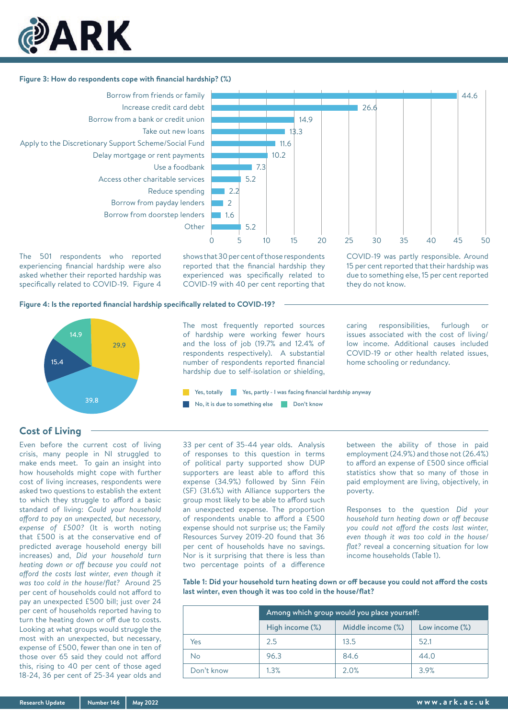

## **Figure 3: How do respondents cope with financial hardship? (%)**



The 501 respondents who reported experiencing financial hardship were also asked whether their reported hardship was specifically related to COVID-19. Figure 4 shows that 30 per cent of those respondents reported that the financial hardship they experienced was specifically related to COVID-19 with 40 per cent reporting that

5.2

7.3 5.2

2.2  $\overline{2}$ 1.6

The most frequently reported sources of hardship were working fewer hours and the loss of job (19.7% and 12.4% of respondents respectively). A substantial number of respondents reported financial hardship due to self-isolation or shielding,

Yes, totally Yes, partly - I was facing financial hardship anyway

COVID-19 was partly responsible. Around 15 per cent reported that their hardship was due to something else, 15 per cent reported they do not know.

26.6

14.9 13.3 11.6 10.2

44.6

#### **Figure 4: Is the reported financial hardship specifically related to COVID-19?**



## **Cost of Living**

Even before the current cost of living crisis, many people in NI struggled to make ends meet. To gain an insight into how households might cope with further cost of living increases, respondents were asked two questions to establish the extent to which they struggle to afford a basic standard of living: *Could your household afford to pay an unexpected, but necessary, expense of £500?* (It is worth noting that £500 is at the conservative end of predicted average household energy bill increases) and, *Did your household turn heating down or off because you could not afford the costs last winter, even though it was too cold in the house/flat?* Around 25 per cent of households could not afford to pay an unexpected £500 bill; just over 24 per cent of households reported having to turn the heating down or off due to costs. Looking at what groups would struggle the most with an unexpected, but necessary, expense of £500, fewer than one in ten of those over 65 said they could not afford this, rising to 40 per cent of those aged 18-24, 36 per cent of 25-34 year olds and 33 per cent of 35-44 year olds. Analysis of responses to this question in terms of political party supported show DUP supporters are least able to afford this expense (34.9%) followed by Sinn Féin (SF) (31.6%) with Alliance supporters the group most likely to be able to afford such an unexpected expense. The proportion of respondents unable to afford a £500 expense should not surprise us; the Family Resources Survey 2019-20 found that 36 per cent of households have no savings. Nor is it surprising that there is less than two percentage points of a difference No, it is due to something else Don't know

issues associated with the cost of living/ low income. Additional causes included COVID-19 or other health related issues, home schooling or redundancy.

caring responsibilities, furlough or

between the ability of those in paid employment (24.9%) and those not (26.4%) to afford an expense of £500 since official statistics show that so many of those in paid employment are living, objectively, in poverty.

Responses to the question *Did your household turn heating down or off because you could not afford the costs last winter, even though it was too cold in the house/ flat?* reveal a concerning situation for low income households (Table 1).

**Table 1: Did your household turn heating down or off because you could not afford the costs last winter, even though it was too cold in the house/flat?**

|            | Among which group would you place yourself: |                   |                |  |
|------------|---------------------------------------------|-------------------|----------------|--|
|            | High income (%)                             | Middle income (%) | Low income (%) |  |
| Yes        | 2.5                                         | 13.5              | 52.1           |  |
| <b>No</b>  | 96.3                                        | 84.6              | 44.0           |  |
| Don't know | 1.3%                                        | 2.0%              | 3.9%           |  |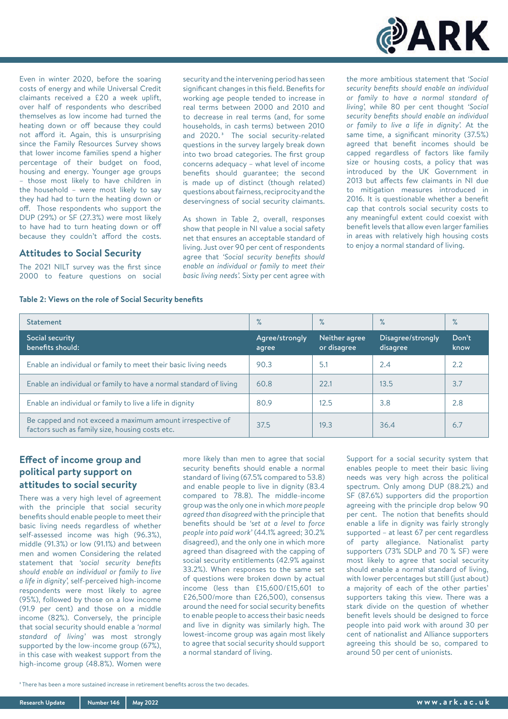

Even in winter 2020, before the soaring costs of energy and while Universal Credit claimants received a £20 a week uplift, over half of respondents who described themselves as low income had turned the heating down or off because they could not afford it. Again, this is unsurprising since the Family Resources Survey shows that lower income families spend a higher percentage of their budget on food, housing and energy. Younger age groups – those most likely to have children in the household – were most likely to say they had had to turn the heating down or off. Those respondents who support the DUP (29%) or SF (27.3%) were most likely to have had to turn heating down or off because they couldn't afford the costs.

### **Attitudes to Social Security**

The 2021 NILT survey was the first since 2000 to feature questions on social security and the intervening period has seen significant changes in this field. Benefits for working age people tended to increase in real terms between 2000 and 2010 and to decrease in real terms (and, for some households, in cash terms) between 2010 and 2020.<sup>3</sup> The social security-related questions in the survey largely break down into two broad categories. The first group concerns adequacy – what level of income benefits should guarantee; the second is made up of distinct (though related) questions about fairness, reciprocity and the deservingness of social security claimants.

As shown in Table 2, overall, responses show that people in NI value a social safety net that ensures an acceptable standard of living. Just over 90 per cent of respondents agree that *'Social security benefits should enable an individual or family to meet their basic living needs'.* Sixty per cent agree with

the more ambitious statement that *'Social security benefits should enable an individual or family to have a normal standard of living',* while 80 per cent thought *'Social security benefits should enable an individual or family to live a life in dignity'.* At the same time, a significant minority (37.5%) agreed that benefit incomes should be capped regardless of factors like family size or housing costs, a policy that was introduced by the UK Government in 2013 but affects few claimants in NI due to mitigation measures introduced in 2016. It is questionable whether a benefit cap that controls social security costs to any meaningful extent could coexist with benefit levels that allow even larger families in areas with relatively high housing costs to enjoy a normal standard of living.

#### **Table 2: Views on the role of Social Security benefits**

| <b>Statement</b>                                                                                             | $\%$                    | $\%$                         | $\%$                          | $\%$          |
|--------------------------------------------------------------------------------------------------------------|-------------------------|------------------------------|-------------------------------|---------------|
| Social security<br>benefits should:                                                                          | Agree/strongly<br>agree | Neither agree<br>or disagree | Disagree/strongly<br>disagree | Don't<br>know |
| Enable an individual or family to meet their basic living needs                                              | 90.3                    | 5.1                          | 2.4                           | 2.2           |
| Enable an individual or family to have a normal standard of living                                           | 60.8                    | 22.1                         | 13.5                          | 3.7           |
| Enable an individual or family to live a life in dignity                                                     | 80.9                    | 12.5                         | 3.8                           | 2.8           |
| Be capped and not exceed a maximum amount irrespective of<br>factors such as family size, housing costs etc. | 37.5                    | 19.3                         | 36.4                          | 6.7           |

## **Effect of income group and political party support on attitudes to social security**

There was a very high level of agreement with the principle that social security benefits should enable people to meet their basic living needs regardless of whether self-assessed income was high (96.3%), middle (91.3%) or low (91.1%) and between men and women Considering the related statement that *'social security benefits should enable an individual or family to live a life in dignity',* self-perceived high-income respondents were most likely to agree (95%), followed by those on a low income (91.9 per cent) and those on a middle income (82%). Conversely, the principle that social security should enable a *'normal standard of living'* was most strongly supported by the low-income group (67%), in this case with weakest support from the high-income group (48.8%). Women were

more likely than men to agree that social security benefits should enable a normal standard of living (67.5% compared to 53.8) and enable people to live in dignity (83.4 compared to 78.8). The middle-income group was the only one in which *more people agreed than disagreed* with the principle that benefits should be *'set at a level to force people into paid work'* (44.1% agreed; 30.2% disagreed), and the only one in which more agreed than disagreed with the capping of social security entitlements (42.9% against 33.2%). When responses to the same set of questions were broken down by actual income (less than £15,600/£15,601 to £26,500/more than £26,500), consensus around the need for social security benefits to enable people to access their basic needs and live in dignity was similarly high. The lowest-income group was again most likely to agree that social security should support a normal standard of living.

Support for a social security system that enables people to meet their basic living needs was very high across the political spectrum. Only among DUP (88.2%) and SF (87.6%) supporters did the proportion agreeing with the principle drop below 90 per cent. The notion that benefits should enable a life in dignity was fairly strongly supported – at least 67 per cent regardless of party allegiance. Nationalist party supporters (73% SDLP and 70 % SF) were most likely to agree that social security should enable a normal standard of living, with lower percentages but still (just about) a majority of each of the other parties' supporters taking this view. There was a stark divide on the question of whether benefit levels should be designed to force people into paid work with around 30 per cent of nationalist and Alliance supporters agreeing this should be so, compared to around 50 per cent of unionists.

3 There has been a more sustained increase in retirement benefits across the two decades.